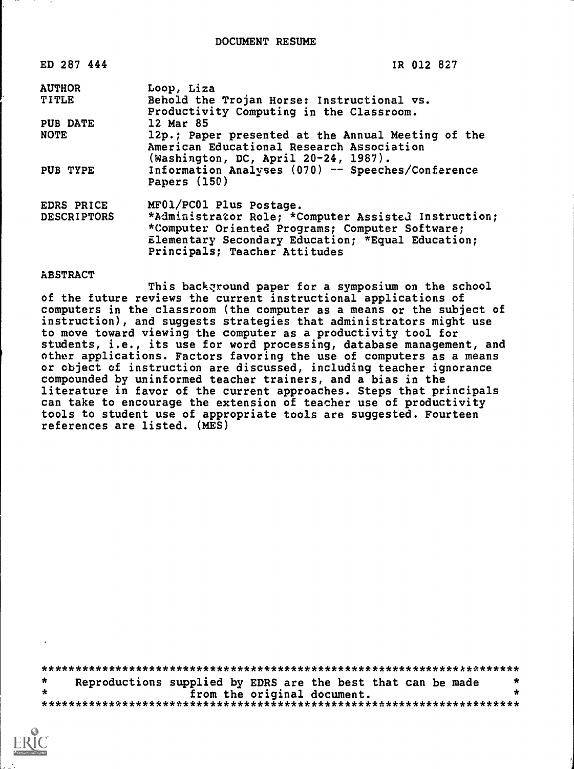| ED 287 444                       | IR 012 827                                                                                                                                                                                                               |
|----------------------------------|--------------------------------------------------------------------------------------------------------------------------------------------------------------------------------------------------------------------------|
| <b>AUTHOR</b>                    | Loop, Liza                                                                                                                                                                                                               |
| TITLE                            | Behold the Trojan Horse: Instructional vs.<br>Productivity Computing in the Classroom.                                                                                                                                   |
| PUB DATE                         | 12 Mar 85                                                                                                                                                                                                                |
| <b>NOTE</b>                      | 12p.; Paper presented at the Annual Meeting of the<br>American Educational Research Association<br>(Washington, DC, April 20-24, 1987).                                                                                  |
| PUB TYPE                         | Information Analyses (070) -- Speeches/Conference<br>Papers (150)                                                                                                                                                        |
| EDRS PRICE<br><b>DESCRIPTORS</b> | MF01/PC01 Plus Postage.<br>*Administrator Role; *Computer Assisted Instruction;<br>*Computer Oriented Programs; Computer Software;<br>Elementary Secondary Education; *Equal Education;<br>Principals; Teacher Attitudes |

### ABSTRACT

This background paper for a symposium on the school of the future reviews the current instructional applications of computers in the classroom (the computer as a means or the subject of instruction), and suggests strategies that administrators might use to move toward viewing the computer as a productivity tool for students, i.e., its use for word processing, database management, and other applications. Factors favoring the use of computers as a means or object of instruction are discussed, including teacher ignorance compounded by uninformed teacher trainers, and a bias in the literature in favor of the current approaches. Steps that principals can take to encourage the extension of teacher use of productivity tools to student use of appropriate tools are suggested. Fourteen references are listed. (MES)

\*\*\*\*\*\*\*\*\*\*\*\*\*\*\*\*\*\*\*\*\*\*\*\*\*\*\*\*\*\*\*\*\*\*\*\*\*\*\*\*\*\*\*\*\*\*\*\*\*\*\*\*\*\*\*\*\*\*\*\*\*\*\*\*\*\*\*\*\*\*\*  $\star$ Reproductions supplied by EDRS are the best that can be made  $*$ <br>from the original document. from the original document. \*\*\*\*\*\*\*\*\*\*\*\*\*\*\*\*\*\*\*\*\*\*\*\*\*\*\*\*\*\*\*\*\*\*\*\*\*\*\*\*\*\*\*\*\*\*\*\*\*\*\*\*\*\*\*\*\*\*\*\*\*\*\*\*\*\*\*\*\*\*\*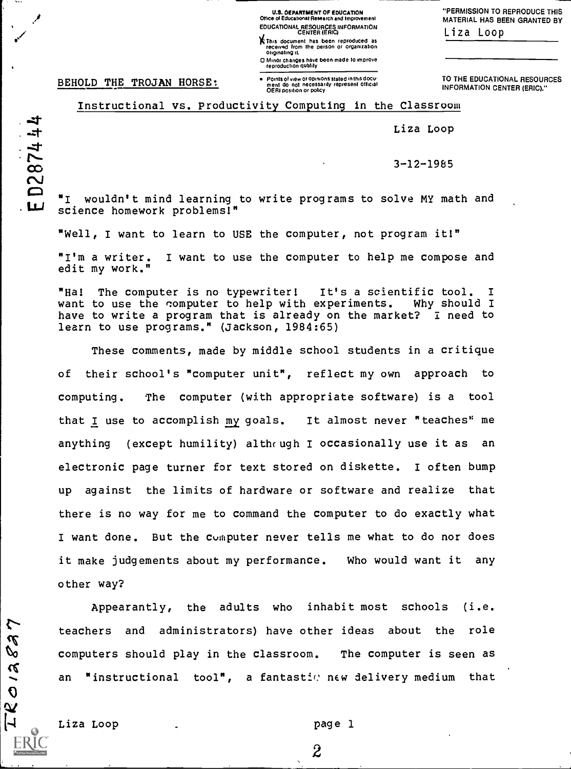U.S. DEPARTMENT OF EDUCATION Office of Educational Research and improvement EDUCATIONAL RESOURCES INFORMATION CENTER (ERIC)

This document has been reproduced as received from the person or organization originating IL

0 Minor changes have been made to improve reproduction quality ment do not necessarily represent official OERI position or policy

"PERMISSION TO REPRODUCE THIS MATERIAL HAS BEEN GRANTED BY Liza Loop

BEHOLD THE TROJAN HORSE:

TO THE EDUCATIONAL RESOURCES INFORMATION CENTER (ERIC)."

 $-t$ D2874

 $7.65$ 

Instructional vs. Productivity Computing in the Classroom

Liza Loop

 $\infty$  3-12-1985

"I wouldn't mind learning to write programs to solve MY math and LLJ science homework problems!"

"Well, I want to learn to USE the computer, not program it!"

"I'm a writer. I want to use the computer to help me compose and edit my work."

"Ha! The computer is no typewriter! It's a scientific tool. I<br>want to use the computer to help with experiments. Why should I want to use the computer to help with experiments. have to write a program that is already on the market? I need to learn to use programs." (Jackson, 1984:65)

These comments, made by middle school students in a critique of their school's "computer unit", reflect my own approach to computing. The computer (with appropriate software) is a tool that I use to accomplish my goals. It almost never "teaches' me anything (except humility) although I occasionally use it as an electronic page turner for text stored on diskette. I often bump up against the limits of hardware or software and realize that there is no way for me to command the computer to do exactly what I want done. But the computer never tells me what to do nor does it make judgements about my performance. Who would want it any other way?

Appearantly, the adults who inhabit most schools (i.e. teachers and administrators) have other ideas about the role<br>  $\mathbf{\hat{x}}$  $\mathbb{Q}$  computers should play in the classroom. The computer is seen as an "instructional tool", a fantastic new delivery medium that

Liza Loop and Liza Loop and Liza Loop and Liza and Liza and Liza and Liza and Liza and Liza and Liza and Liza

 $\tilde{z}$ 

 $\overline{O}$  $\boldsymbol{\omega}$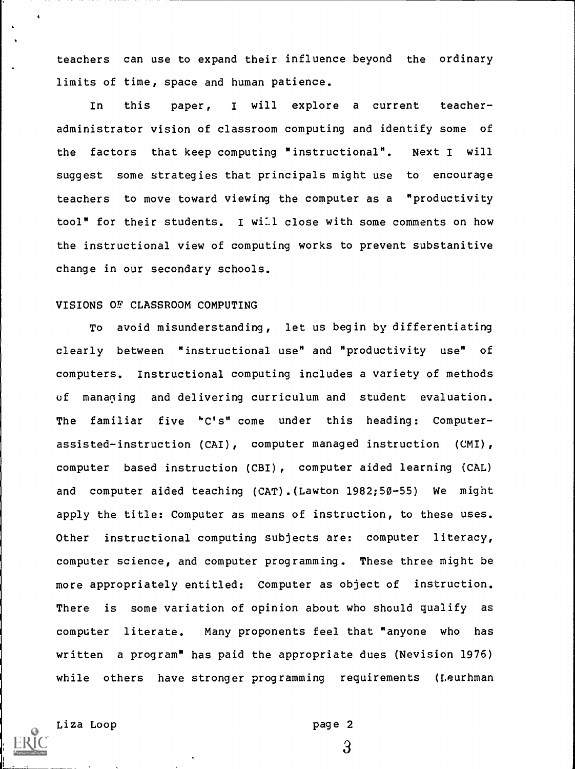teachers can use to expand their influence beyond the ordinary limits of time, space and human patience.

In this paper, <sup>I</sup> will explore a current teacheradministrator vision of classroom computing and identify some of the factors that keep computing "instructional". Next I will suggest some strategies that principals might use to encourage teachers to move toward viewing the computer as a "productivity tool" for their students. 1 will close with some comments on how the instructional view of computing works to prevent substanitive change in our secondary schools.

## VISIONS OF CLASSROOM COMPUTING

To avoid misunderstanding, let us begin by differentiating clearly between "instructional use" and "productivity use" of computers. Instructional computing includes a variety of methods of managing and delivering curriculum and student evaluation. The familiar five 'C's" come under this heading: Computerassisted-instruction (CAI), computer managed instruction (CMI), computer based instruction (CBI), computer aided learning (CAL) and computer aided teaching (CAT).(Lawton 1982;50-55) We might apply the title: Computer as means of instruction, to these uses. Other instructional computing subjects are: computer literacy, computer science, and computer programming. These three might be more appropriately entitled: Computer as object of instruction. There is some variation of opinion about who should qualify as computer literate. Many proponents feel that "anyone who has written a program" has paid the appropriate dues (Nevision 1976) while others have stronger programming requirements (Leurhman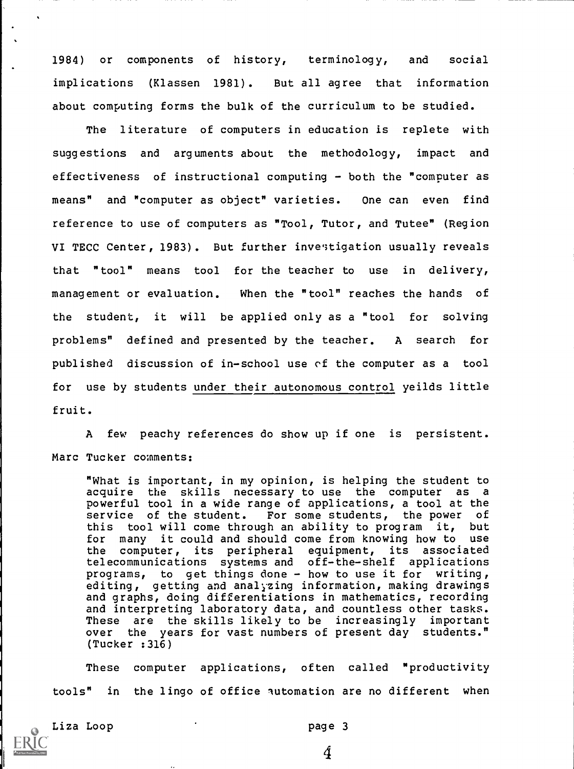1984) or components of history, terminology, and social implications (Klassen 1981). But all agree that information about computing forms the bulk of the curriculum to be studied.

The literature of computers in education is replete with suggestions and arguments about the methodology, impact and effectiveness of instructional computing - both the "computer as means" and "computer as object" varieties. One can even find reference to use of computers as "Tool, Tutor, and Tutee" (Region VI TECC Center, 1983). But further investigation usually reveals that "tool" means tool for the teacher to use in delivery, management or evaluation. When the "tool" reaches the hands of the student, it will be applied only as a "tool for solving problems" defined and presented by the teacher. A search for published discussion of in-school use of the computer as a tool for use by students under their autonomous control yeilds little fruit.

A few peachy references do show up if one is persistent. Marc Tucker comments:

"What is important, in my opinion, is helping the student to acquire the skills necessary to use the computer as a powerful tool in a wide range of applications, a tool at the service of the student. For some students, the power of this tool will come through an ability to program it, but for many it could and should come from knowing how to use the computer, its peripheral equipment, its associated telecommunications systems and off-the-shelf applications programs, to get things done - how to use it for writing, editing, getting and analyzing information, making drawings and graphs, doing differentiations in mathematics, recording and interpreting laboratory data, and countless other tasks. These are the skills likely to be increasingly important over the years for vast numbers of present day students." (Tucker :316)

These computer applications, often called "productivity tools" in the lingo of office automation are no different when



Liza Loop page 3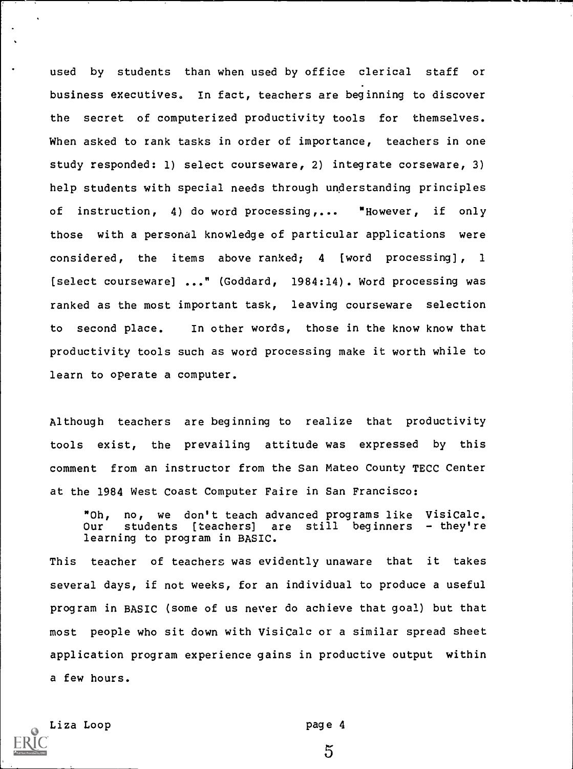used by students than when used by office clerical staff or business executives. In fact, teachers are beginning to discover the secret of computerized productivity tools for themselves. When asked to rank tasks in order of importance, teachers in one study responded: 1) select courseware, 2) integrate corseware, 3) help students with special needs through understanding principles of instruction, 4) do word processing,... "However, if only those with a personal knowledge of particular applications were considered, the items above ranked; 4 [word processing], 1 [select courseware] ..." (Goddard, 1984:14). Word processing was ranked as the most important task, leaving courseware selection to second place. In other words, those in the know know that productivity tools such as word processing make it worth while to learn to operate a computer.

Although teachers are beginning to realize that productivity tools exist, the prevailing attitude was expressed by this comment from an instructor from the San Mateo County TECC Center at the 1984 West Coast Computer Faire in San Francisco:

"Oh, no, we don't teach advanced programs like VisiCalc.<br>Our students [teachers] are still beginners - they're still beginners  $-$  they're learning to program in BASIC.

This teacher of teachers was evidently unaware that it takes several days, if not weeks, for an individual to produce a useful program in BASIC (some of us never do achieve that goal) but that most people who sit down with VisiCalc or a similar spread sheet application program experience gains in productive output within a few hours.

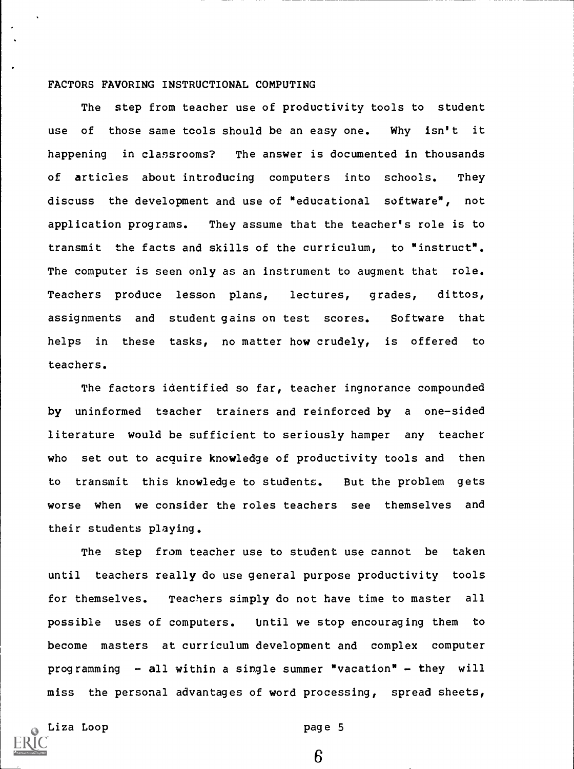# FACTORS FAVORING INSTRUCTIONAL COMPUTING

The step from teacher use of productivity tools to student use of those same tools should be an easy one. Why isn't it happening in classrooms? The answer is documented in thousands of articles about introducing computers into schools. They discuss the development and use of "educational software", not application programs. They assume that the teacher's role is to transmit the facts and skills of the curriculum, to "instruct". The computer is seen only as an instrument to augment that role. Teachers produce lesson plans, lectures, grades, dittos, assignments and student gains on test scores. Software that helps in these tasks, no matter how crudely, is offered to teachers.

The factors identified so far, teacher ingnorance compounded by uninformed teacher trainers and reinforced by a one-sided literature would be sufficient to seriously hamper any teacher who set out to acquire knowledge of productivity tools and then to transmit this knowledge to students. But the problem gets worse when we consider the roles teachers see themselves and their students playing.

The step from teacher use to student use cannot be taken until teachers really do use general purpose productivity tools for themselves. Teachers simply do not have time to master all possible uses of computers. Until we stop encouraging them to become masters at curriculum development and complex computer programming  $-$  all within a single summer "vacation"  $-$  they will miss the personal advantages of word processing, spread sheets,

Liza Loop page 5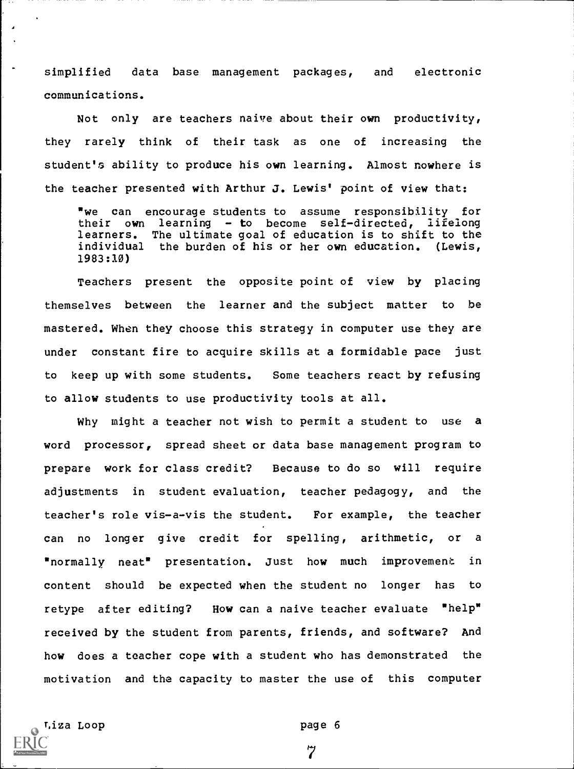simplified data base management packages, and electronic communications.

Not only are teachers naive about their own productivity, they rarely think of their task as one of increasing the student's ability to produce his own learning. Almost nowhere is the teacher presented with Arthur J. Lewis' point of view that:

we can encourage students to assume responsibility for their own learning - to become self-directed, lifelong learners. The ultimate goal of education is to shift to the individual the burden of his or her own education. (Lewis, 1983:10)

Teachers present the opposite point of view by placing themselves between the learner and the subject matter to be mastered. When they choose this strategy in computer use they are under constant fire to acquire skills at a formidable pace just to keep up with some students. Some teachers react by refusing to allow students to use productivity tools at all.

Why might a teacher not wish to permit a student to use a word processor, spread sheet or data base management program to prepare work for class credit? Because to do so will require adjustments in student evaluation, teacher pedagogy, and the teacher's role vis-a-vis the student. For example, the teacher can no longer give credit for spelling, arithmetic, or a "normally neat" presentation. Just how much improvement in content should be expected when the student no longer has to retype after editing? How can a naive teacher evaluate "help" received by the student from parents, friends, and software? And how does a teacher cope with a student who has demonstrated the motivation and the capacity to master the use of this computer

Tiza Loop **page 6** 

 $\overline{7}$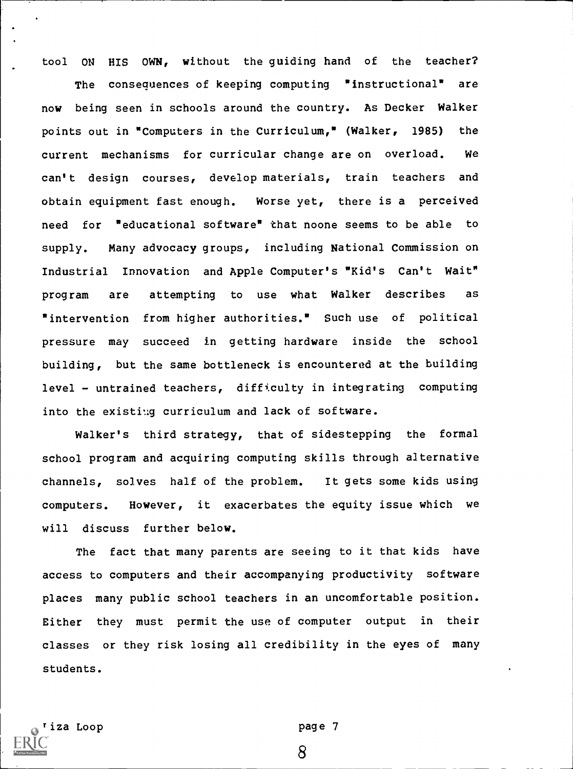tool ON HIS OWN, without the guiding hand of the teacher?

The consequences of keeping computing "instructional" are now being seen in schools around the country. As Decker Walker points out in "Computers in the Curriculum," (Walker, 1985) the current mechanisms for curricular change are on overload. We can't design courses, develop materials, train teachers and obtain equipment fast enough. Worse yet, there is a perceived need for "educational software" that noone seems to be able to supply. Many advocacy groups, including National Commission on Industrial Innovation and Apple Computer's "Kid's Can't Wait" program are attempting to use what Walker describes as "intervention from higher authorities." Such use of political pressure may succeed in getting hardware inside the school building, but the same bottleneck is encountered at the building  $level - untrained teachers, differently in integrating computing$ into the existing curriculum and lack of software.

Walker's third strategy, that of sidestepping the formal school program and acquiring computing skills through alternative channels, solves half of the problem. It gets some kids using computers. However, it exacerbates the equity issue which we will discuss further below.

The fact that many parents are seeing to it that kids have access to computers and their accompanying productivity software places many public school teachers in an uncomfortable position. Either they must permit the use of computer output in their classes or they risk losing all credibility in the eyes of many students.

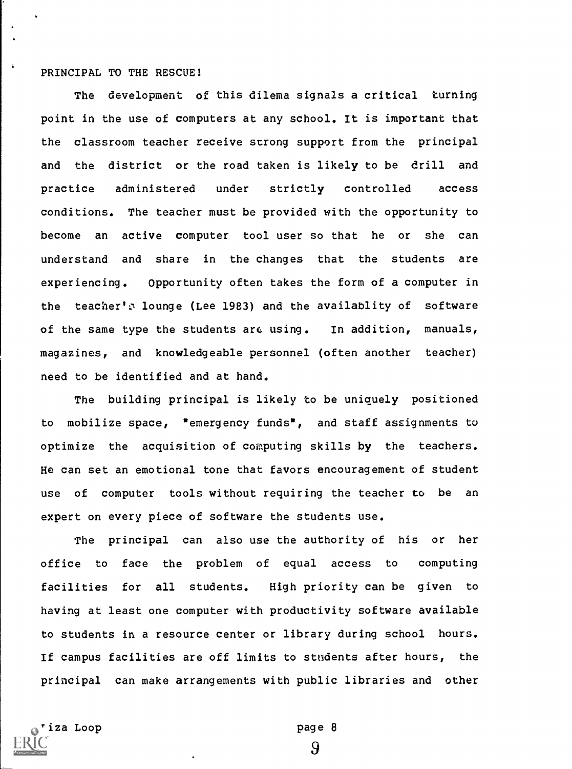## PRINCIPAL TO THE RESCUE!

 $\ddot{\bullet}$ 

The development of this dilema signals a critical turning point in the use of computers at any school. It is important that the classroom teacher receive strong support from the principal and the district or the road taken is likely to be drill and practice administered under strictly controlled access conditions. The teacher must be provided with the opportunity to become an active computer tool user so that he or she can understand and share in the changes that the students are experiencing. Opportunity often takes the form of a computer in the teacher's lounge (Lee 1983) and the availablity of software of the same type the students are using. In addition, manuals, magazines, and knowledgeable personnel (often another teacher) need to be identified and at hand.

The building principal is likely to be uniquely positioned to mobilize space, "emergency funds", and staff assignments to optimize the acquisition of computing skills by the teachers. He can set an emotional tone that favors encouragement of student use of computer tools without requiring the teacher to be an expert on every piece of software the students use.

The principal can also use the authority of his or her office to face the problem of equal access to computing facilities for all students. High priority can be given to having at least one computer with productivity software available to students in a resource center or library during school hours. If campus facilities are off limits to students after hours, the principal can make arrangements with public libraries and other

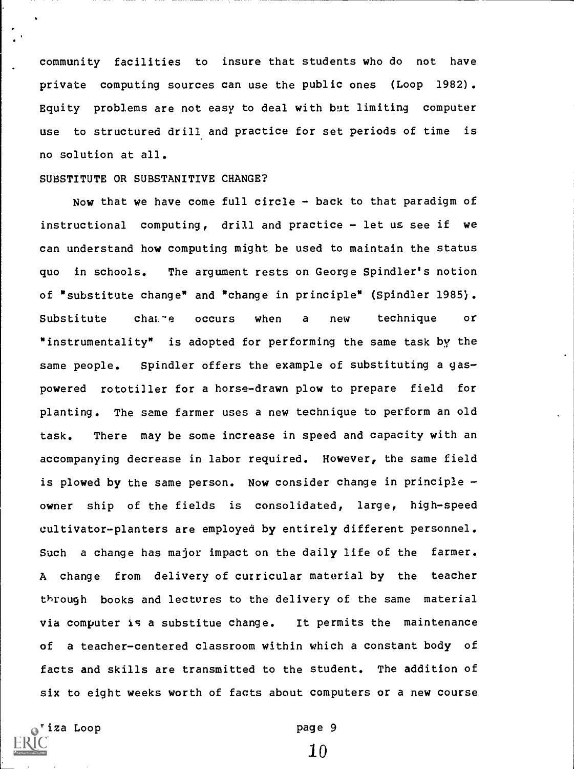community facilities to insure that students who do not have private computing sources can use the public ones (Loop 1982). Equity problems are not easy to deal with but limiting computer use to structured drill and practice for set periods of time is no solution at all.

## SUBSTITUTE OR SUBSTANITIVE CHANGE?

Now that we have come full circle - back to that paradigm of instructional computing, drill and practice - let us see if we can understand how computing might be used to maintain the status quo in schools. The argument rests on George Spindler's notion of "substitute change" and "change in principle" (Spindler 1985). Substitute cha $\square$ ie occurs when a new technique or "instrumentality" is adopted for performing the same task by the same people. Spindler offers the example of substituting a gaspowered rototiller for a horse-drawn plow to prepare field for planting. The same farmer uses a new technique to perform an old task. There may be some increase in speed and capacity with an accompanying decrease in labor required. However, the same field is plowed by the same person. Now consider change in principle  $$ owner ship of the fields is consolidated, large, high-speed cultivator-planters are employed by entirely different personnel. Such a change has major impact on the daily life of the farmer. A change from delivery of curricular material by the teacher through books and lectures to the delivery of the same material via computer is a substitue change. It permits the maintenance of a teacher-centered classroom within which a constant body of facts and skills are transmitted to the student. The addition of six to eight weeks worth of facts about computers or a new course

iza Loop **page 9**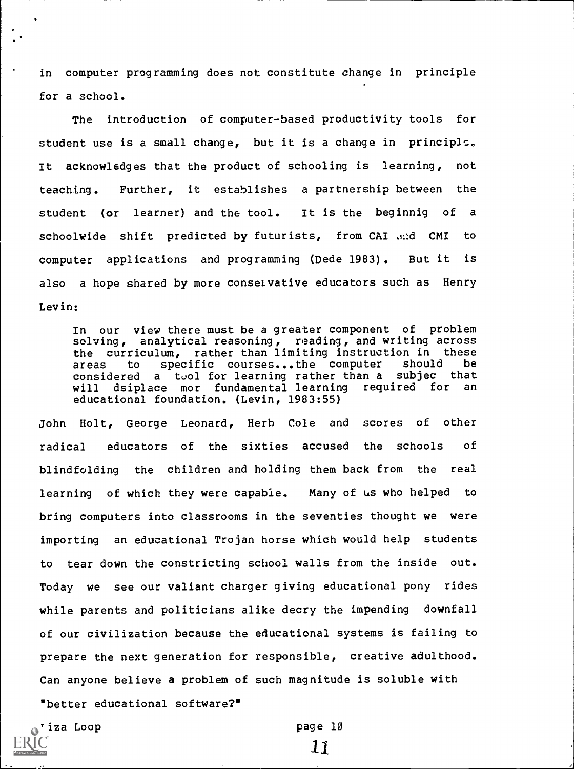in computer programming does not constitute change in principle for a school.

The introduction of computer-based productivity tools for student use is a small change, but it is a change in principle., It acknowledges that the product of schooling is learning, not teaching. Further, it establishes a partnership between the student (or learner) and the tool. It is the beginnig of a schoolwide shift predicted by futurists, from CAI and CMI to computer applications and programming (Dede 1983). But it is also a hope shared by more conselvative educators such as Henry Levin:

In our view there must be a greater component of problem solving, analytical reasoning, reading, and writing across the curriculum, rather than limiting instruction in these<br>areas to specific courses...the computer should be areas to specific courses...the computer should be considered <sup>a</sup> tool for learning rather than a subjec that will dsiplace mor fundamental learning required for an educational foundation. (Levin, 1983:55)

John Holt, George Leonard, Herb Cole and scores of other radical educators of the sixties accused the schools of blindfolding the children and holding them back from the real learning of which they were capable, Many of us who helped to bring computers into classrooms in the seventies thought we were importing an educational Trojan horse which would help students to tear down the constricting school walls from the inside out. Today we see our valiant charger giving educational pony rides while parents and politicians alike decry the impending downfall of our civilization because the educational systems is failing to prepare the next generation for responsible, creative adulthood. Can anyone believe a problem of such magnitude is soluble with "better educational software?"

tiza Loop **page 10** 

11.